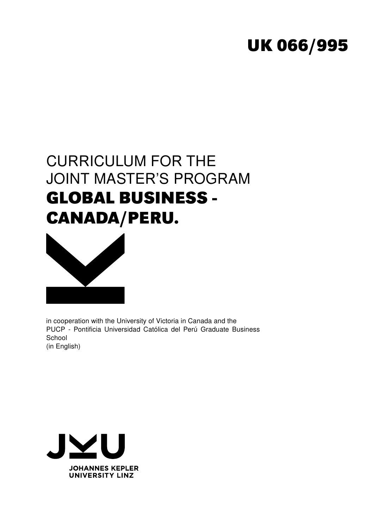# **UK 066/995**

# CURRICULUM FOR THE JOINT MASTER'S PROGRAM **GLOBAL BUSINESS - CANADA/PERU.**



in cooperation with the University of Victoria in Canada and the PUCP - Pontificia Universidad Católica del Perú Graduate Business **School** (in English)

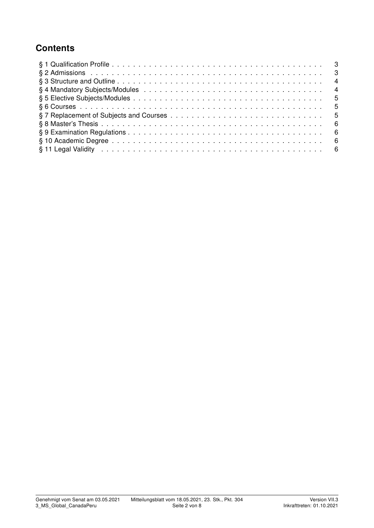## **Contents**

| § 11 Legal Validity in the contract of the contract of the contract of the contract of the contract of the contract of the set of the contract of the contract of the contract of the contract of the contract of the contract |  |
|--------------------------------------------------------------------------------------------------------------------------------------------------------------------------------------------------------------------------------|--|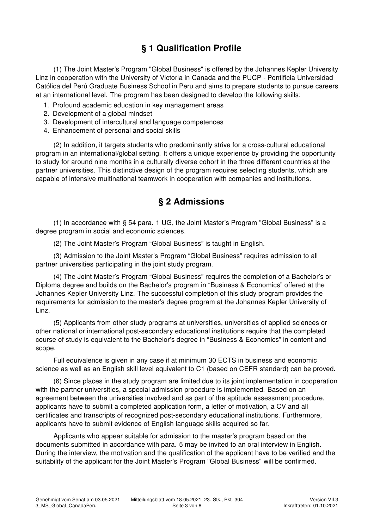## § 1 Qualification Profile

(1) The Joint Master's Program "Global Business" is offered by the Johannes Kepler University Linz in cooperation with the University of Victoria in Canada and the PUCP - Pontificia Universidad Católica del Perú Graduate Business School in Peru and aims to prepare students to pursue careers at an international level. The program has been designed to develop the following skills:

- 1. Profound academic education in key management areas
- 2. Development of a global mindset
- 3. Development of intercultural and language competences
- 4. Enhancement of personal and social skills

(2) In addition, it targets students who predominantly strive for a cross-cultural educational program in an international/global setting. It offers a unique experience by providing the opportunity to study for around nine months in a culturally diverse cohort in the three different countries at the partner universities. This distinctive design of the program requires selecting students, which are capable of intensive multinational teamwork in cooperation with companies and institutions.

#### § 2 Admissions

(1) In accordance with § 54 para. 1 UG, the Joint Master's Program "Global Business" is a degree program in social and economic sciences.

(2) The Joint Master's Program "Global Business" is taught in English.

(3) Admission to the Joint Master's Program "Global Business" requires admission to all partner universities participating in the joint study program.

(4) The Joint Master's Program "Global Business" requires the completion of a Bachelor's or Diploma degree and builds on the Bachelor's program in "Business & Economics" offered at the Johannes Kepler University Linz. The successful completion of this study program provides the requirements for admission to the master's degree program at the Johannes Kepler University of Linz.

(5) Applicants from other study programs at universities, universities of applied sciences or other national or international post-secondary educational institutions require that the completed course of study is equivalent to the Bachelor's degree in "Business & Economics" in content and scope.

Full equivalence is given in any case if at minimum 30 ECTS in business and economic science as well as an English skill level equivalent to C1 (based on CEFR standard) can be proved.

(6) Since places in the study program are limited due to its joint implementation in cooperation with the partner universities, a special admission procedure is implemented. Based on an agreement between the universities involved and as part of the aptitude assessment procedure, applicants have to submit a completed application form, a letter of motivation, a CV and all certificates and transcripts of recognized post-secondary educational institutions. Furthermore, applicants have to submit evidence of English language skills acquired so far.

Applicants who appear suitable for admission to the master's program based on the documents submitted in accordance with para. 5 may be invited to an oral interview in English. During the interview, the motivation and the qualification of the applicant have to be verified and the suitability of the applicant for the Joint Master's Program "Global Business" will be confirmed.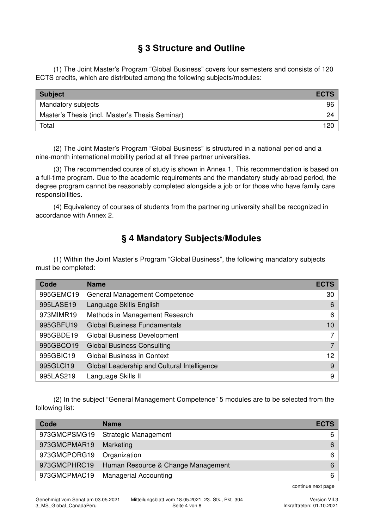### § 3 Structure and Outline

(1) The Joint Master's Program "Global Business" covers four semesters and consists of 120 ECTS credits, which are distributed among the following subjects/modules:

| <b>Subject</b>                                  | <b>ECTS</b> |
|-------------------------------------------------|-------------|
| Mandatory subjects                              | 96          |
| Master's Thesis (incl. Master's Thesis Seminar) | 24          |
| Total                                           | 120         |

(2) The Joint Master's Program "Global Business" is structured in a national period and a nine-month international mobility period at all three partner universities.

(3) The recommended course of study is shown in Annex 1. This recommendation is based on a full-time program. Due to the academic requirements and the mandatory study abroad period, the degree program cannot be reasonably completed alongside a job or for those who have family care responsibilities.

(4) Equivalency of courses of students from the partnering university shall be recognized in accordance with Annex 2.

### § 4 Mandatory Subjects/Modules

(1) Within the Joint Master's Program "Global Business", the following mandatory subjects must be completed:

| Code      | <b>Name</b>                                 | <b>ECTS</b>       |
|-----------|---------------------------------------------|-------------------|
| 995GEMC19 | <b>General Management Competence</b>        | 30                |
| 995LASE19 | Language Skills English                     | 6                 |
| 973MIMR19 | Methods in Management Research              | 6                 |
| 995GBFU19 | <b>Global Business Fundamentals</b>         | 10                |
| 995GBDE19 | <b>Global Business Development</b>          | 7                 |
| 995GBCO19 | <b>Global Business Consulting</b>           | $\overline{7}$    |
| 995GBIC19 | <b>Global Business in Context</b>           | $12 \overline{ }$ |
| 995GLC119 | Global Leadership and Cultural Intelligence | 9                 |
| 995LAS219 | Language Skills II                          | 9                 |

(2) In the subject "General Management Competence" 5 modules are to be selected from the following list:

| Code         | <b>Name</b>                        | <b>ECTS</b> |
|--------------|------------------------------------|-------------|
| 973GMCPSMG19 | <b>Strategic Management</b>        | 6           |
| 973GMCPMAR19 | Marketing                          | 6           |
| 973GMCPORG19 | Organization                       | 6           |
| 973GMCPHRC19 | Human Resource & Change Management | 6           |
| 973GMCPMAC19 | <b>Managerial Accounting</b>       | 6           |

continue next page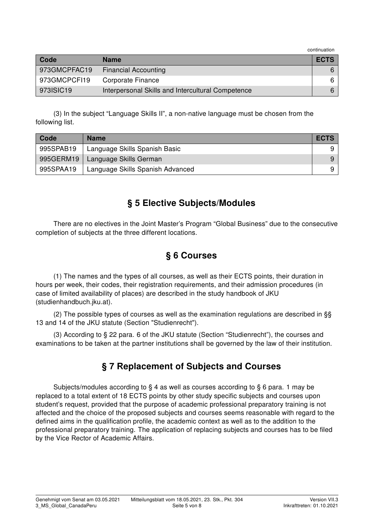continuation

| Code         | <b>Name</b>                                       | <b>ECTS</b> |
|--------------|---------------------------------------------------|-------------|
| 973GMCPFAC19 | <b>Financial Accounting</b>                       |             |
| 973GMCPCFI19 | Corporate Finance                                 |             |
| 973ISIC19    | Interpersonal Skills and Intercultural Competence |             |

(3) In the subject "Language Skills II", a non-native language must be chosen from the following list.

| Code      | <b>Name</b>                      | <b>ECTS</b> |
|-----------|----------------------------------|-------------|
| 995SPAB19 | Language Skills Spanish Basic    |             |
| 995GERM19 | Language Skills German           | 9           |
| 995SPAA19 | Language Skills Spanish Advanced | 9           |

#### § 5 Elective Subjects/Modules

There are no electives in the Joint Master's Program "Global Business" due to the consecutive completion of subjects at the three different locations.

#### § 6 Courses

(1) The names and the types of all courses, as well as their ECTS points, their duration in hours per week, their codes, their registration requirements, and their admission procedures (in case of limited availability of places) are described in the study handbook of JKU (studienhandbuch.jku.at).

(2) The possible types of courses as well as the examination regulations are described in §§ 13 and 14 of the JKU statute (Section "Studienrecht").

(3) According to § 22 para. 6 of the JKU statute (Section "Studienrecht"), the courses and examinations to be taken at the partner institutions shall be governed by the law of their institution.

#### § 7 Replacement of Subjects and Courses

Subjects/modules according to § 4 as well as courses according to § 6 para. 1 may be replaced to a total extent of 18 ECTS points by other study specific subjects and courses upon student's request, provided that the purpose of academic professional preparatory training is not affected and the choice of the proposed subjects and courses seems reasonable with regard to the defined aims in the qualification profile, the academic context as well as to the addition to the professional preparatory training. The application of replacing subjects and courses has to be filed by the Vice Rector of Academic Affairs.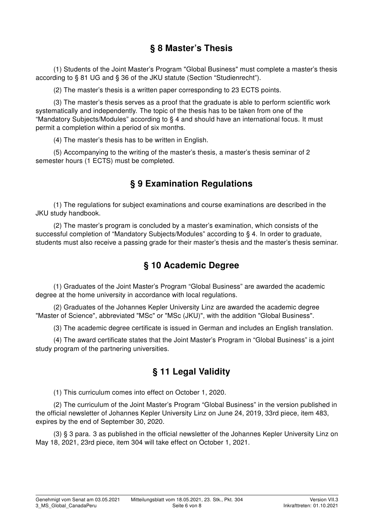#### § 8 Master's Thesis

(1) Students of the Joint Master's Program "Global Business" must complete a master's thesis according to § 81 UG and § 36 of the JKU statute (Section "Studienrecht").

(2) The master's thesis is a written paper corresponding to 23 ECTS points.

(3) The master's thesis serves as a proof that the graduate is able to perform scientific work systematically and independently. The topic of the thesis has to be taken from one of the "Mandatory Subjects/Modules" according to § 4 and should have an international focus. It must permit a completion within a period of six months.

(4) The master's thesis has to be written in English.

(5) Accompanying to the writing of the master's thesis, a master's thesis seminar of 2 semester hours (1 ECTS) must be completed.

#### § 9 Examination Regulations

(1) The regulations for subject examinations and course examinations are described in the JKU study handbook.

(2) The master's program is concluded by a master's examination, which consists of the successful completion of "Mandatory Subjects/Modules" according to § 4. In order to graduate, students must also receive a passing grade for their master's thesis and the master's thesis seminar.

#### § 10 Academic Degree

(1) Graduates of the Joint Master's Program "Global Business" are awarded the academic degree at the home university in accordance with local regulations.

(2) Graduates of the Johannes Kepler University Linz are awarded the academic degree "Master of Science", abbreviated "MSc" or "MSc (JKU)", with the addition "Global Business".

(3) The academic degree certificate is issued in German and includes an English translation.

(4) The award certificate states that the Joint Master's Program in "Global Business" is a joint study program of the partnering universities.

#### § 11 Legal Validity

(1) This curriculum comes into effect on October 1, 2020.

(2) The curriculum of the Joint Master's Program "Global Business" in the version published in the official newsletter of Johannes Kepler University Linz on June 24, 2019, 33rd piece, item 483, expires by the end of September 30, 2020.

(3) § 3 para. 3 as published in the official newsletter of the Johannes Kepler University Linz on May 18, 2021, 23rd piece, item 304 will take effect on October 1, 2021.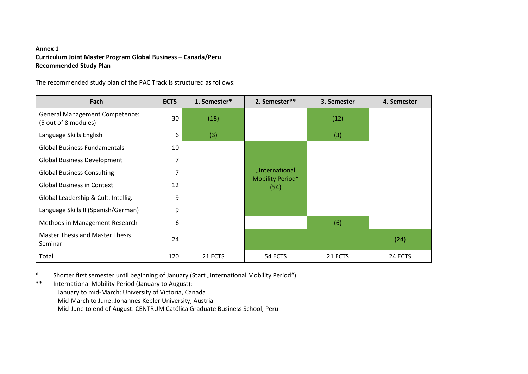#### **Annex <sup>1</sup> Curriculum Joint Master Program Global Business – Canada/PeruRecommended Study Plan**

The recommended study plan of the PAC Track is structured as follows:

| Fach                                                          | <b>ECTS</b> | 1. Semester* | 2. Semester**                   | 3. Semester | 4. Semester |
|---------------------------------------------------------------|-------------|--------------|---------------------------------|-------------|-------------|
| <b>General Management Competence:</b><br>(5 out of 8 modules) | 30          | (18)         |                                 | (12)        |             |
| Language Skills English                                       | 6           | (3)          |                                 | (3)         |             |
| <b>Global Business Fundamentals</b>                           | 10          |              |                                 |             |             |
| <b>Global Business Development</b>                            | 7           |              |                                 |             |             |
| <b>Global Business Consulting</b>                             | 7           |              | "International                  |             |             |
| <b>Global Business in Context</b>                             | 12          |              | <b>Mobility Period"</b><br>(54) |             |             |
| Global Leadership & Cult. Intellig.                           | 9           |              |                                 |             |             |
| Language Skills II (Spanish/German)                           | 9           |              |                                 |             |             |
| Methods in Management Research                                | 6           |              |                                 | (6)         |             |
| <b>Master Thesis and Master Thesis</b><br>Seminar             | 24          |              |                                 |             | (24)        |
| Total                                                         | 120         | 21 ECTS      | 54 ECTS                         | 21 ECTS     | 24 ECTS     |

\*Shorter first semester until beginning of January (Start "International Mobility Period")

\*\*International Mobility Period (January to August):

January to mid-March: University of Victoria, Canada

Mid-March to June: Johannes Kepler University, Austria

Mid-June to end of August: CENTRUM Católica Graduate Business School, Peru